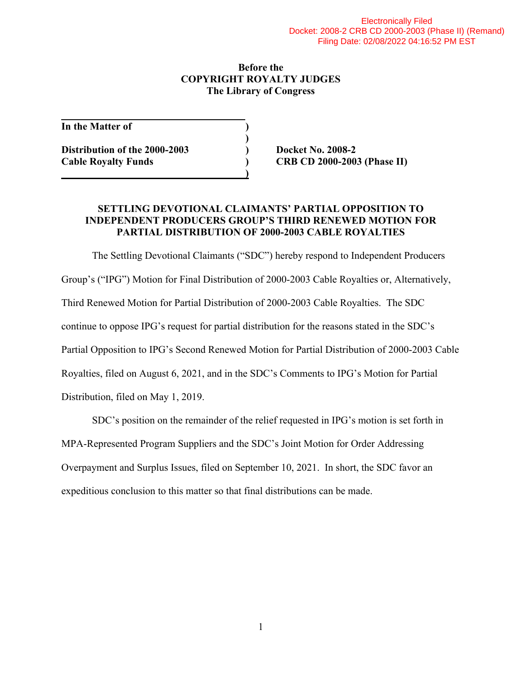#### **Before the COPYRIGHT ROYALTY JUDGES The Library of Congress**

**In the Matter of )** 

**Distribution of the 2000-2003 ) Docket No. 2008-2 Cable Royalty Funds ) CRB CD 2000-2003 (Phase II) 1 ) (a) (b) (b) (b) (b) (b) (b) (d)** 

 **)** 

### **SETTLING DEVOTIONAL CLAIMANTS' PARTIAL OPPOSITION TO INDEPENDENT PRODUCERS GROUP'S THIRD RENEWED MOTION FOR PARTIAL DISTRIBUTION OF 2000-2003 CABLE ROYALTIES**

 The Settling Devotional Claimants ("SDC") hereby respond to Independent Producers Group's ("IPG") Motion for Final Distribution of 2000-2003 Cable Royalties or, Alternatively, Third Renewed Motion for Partial Distribution of 2000-2003 Cable Royalties. The SDC continue to oppose IPG's request for partial distribution for the reasons stated in the SDC's Partial Opposition to IPG's Second Renewed Motion for Partial Distribution of 2000-2003 Cable Royalties, filed on August 6, 2021, and in the SDC's Comments to IPG's Motion for Partial Distribution, filed on May 1, 2019.

 SDC's position on the remainder of the relief requested in IPG's motion is set forth in MPA-Represented Program Suppliers and the SDC's Joint Motion for Order Addressing Overpayment and Surplus Issues, filed on September 10, 2021. In short, the SDC favor an expeditious conclusion to this matter so that final distributions can be made.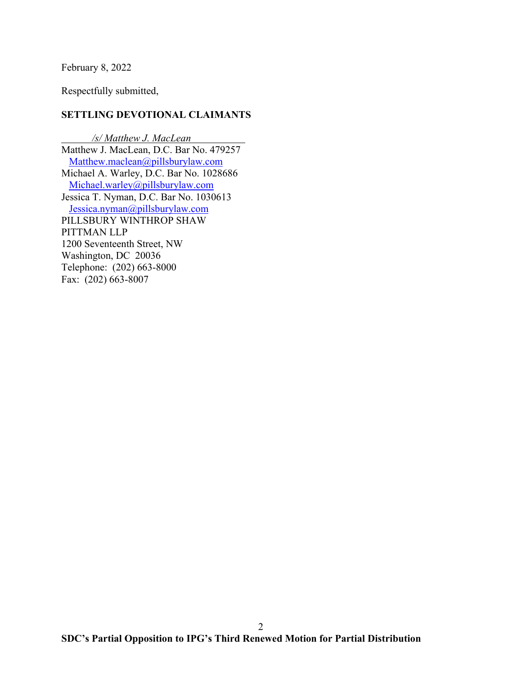February 8, 2022

Respectfully submitted,

### **SETTLING DEVOTIONAL CLAIMANTS**

*/s/ Matthew J. MacLean* Matthew J. MacLean, D.C. Bar No. 479257 Matthew.maclean@pillsburylaw.com Michael A. Warley, D.C. Bar No. 1028686 Michael.warley@pillsburylaw.com Jessica T. Nyman, D.C. Bar No. 1030613 Jessica.nyman@pillsburylaw.com PILLSBURY WINTHROP SHAW PITTMAN LLP 1200 Seventeenth Street, NW Washington, DC 20036 Telephone: (202) 663-8000 Fax: (202) 663-8007

2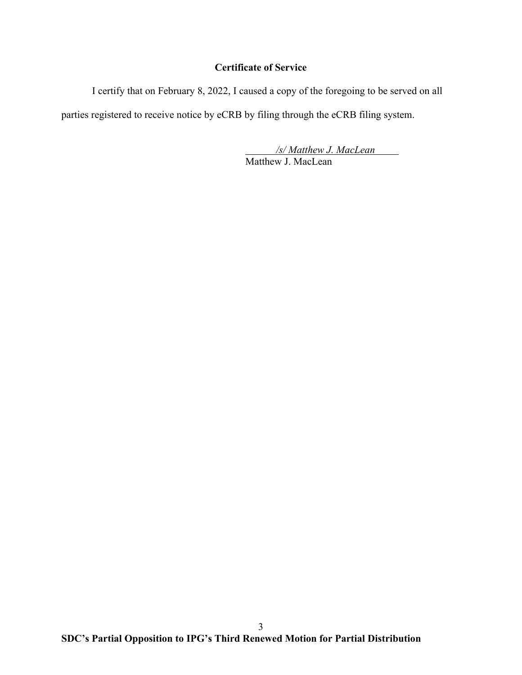## **Certificate of Service**

I certify that on February 8, 2022, I caused a copy of the foregoing to be served on all

parties registered to receive notice by eCRB by filing through the eCRB filing system.

 */s/ Matthew J. MacLean*  Matthew J. MacLean